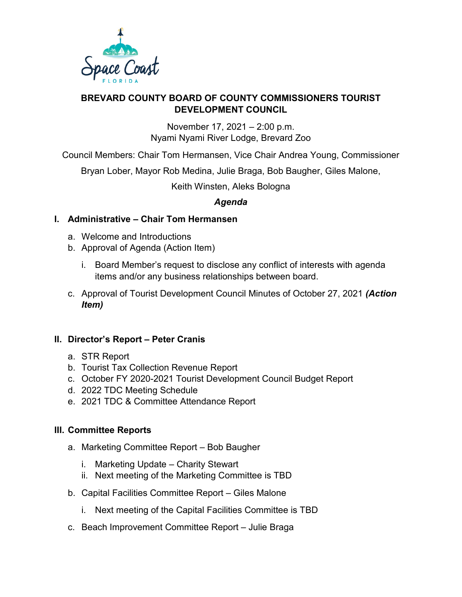

#### **BREVARD COUNTY BOARD OF COUNTY COMMISSIONERS TOURIST DEVELOPMENT COUNCIL**

November 17, 2021 – 2:00 p.m. Nyami Nyami River Lodge, Brevard Zoo

Council Members: Chair Tom Hermansen, Vice Chair Andrea Young, Commissioner

Bryan Lober, Mayor Rob Medina, Julie Braga, Bob Baugher, Giles Malone,

Keith Winsten, Aleks Bologna

# *Agenda*

## **I. Administrative – Chair Tom Hermansen**

- a. Welcome and Introductions
- b. Approval of Agenda (Action Item)
	- i. Board Member's request to disclose any conflict of interests with agenda items and/or any business relationships between board.
- c. Approval of Tourist Development Council Minutes of October 27, 2021 *(Action Item)*

## **II. Director's Report – Peter Cranis**

- a. STR Report
- b. Tourist Tax Collection Revenue Report
- c. October FY 2020-2021 Tourist Development Council Budget Report
- d. 2022 TDC Meeting Schedule
- e. 2021 TDC & Committee Attendance Report

#### **III. Committee Reports**

- a. Marketing Committee Report Bob Baugher
	- i. Marketing Update Charity Stewart
	- ii. Next meeting of the Marketing Committee is TBD
- b. Capital Facilities Committee Report Giles Malone
	- i. Next meeting of the Capital Facilities Committee is TBD
- c. Beach Improvement Committee Report Julie Braga